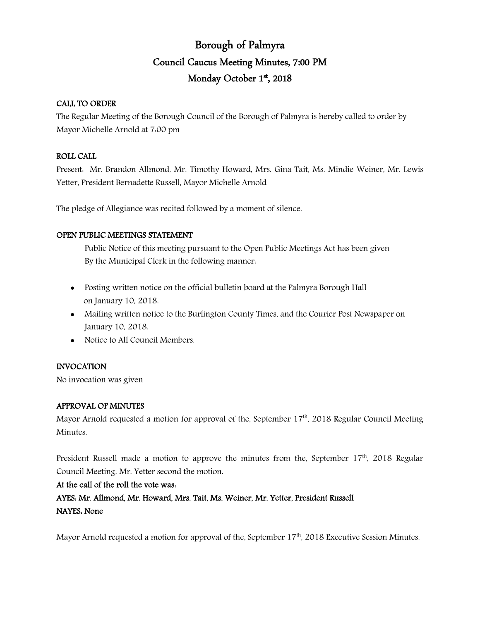# Borough of Palmyra Council Caucus Meeting Minutes, 7:00 PM Monday October 1st, 2018

### CALL TO ORDER

The Regular Meeting of the Borough Council of the Borough of Palmyra is hereby called to order by Mayor Michelle Arnold at 7:00 pm

## ROLL CALL

Present: Mr. Brandon Allmond, Mr. Timothy Howard, Mrs. Gina Tait, Ms. Mindie Weiner, Mr. Lewis Yetter, President Bernadette Russell, Mayor Michelle Arnold

The pledge of Allegiance was recited followed by a moment of silence.

## OPEN PUBLIC MEETINGS STATEMENT

Public Notice of this meeting pursuant to the Open Public Meetings Act has been given By the Municipal Clerk in the following manner:

- Posting written notice on the official bulletin board at the Palmyra Borough Hall on January 10, 2018.
- Mailing written notice to the Burlington County Times, and the Courier Post Newspaper on January 10, 2018.
- Notice to All Council Members.

## INVOCATION

No invocation was given

### APPROVAL OF MINUTES

Mayor Arnold requested a motion for approval of the, September  $17<sup>th</sup>$ , 2018 Regular Council Meeting Minutes.

President Russell made a motion to approve the minutes from the, September  $17<sup>th</sup>$ , 2018 Regular Council Meeting. Mr. Yetter second the motion.

## At the call of the roll the vote was:

AYES: Mr. Allmond, Mr. Howard, Mrs. Tait, Ms. Weiner, Mr. Yetter, President Russell NAYES: None

Mayor Arnold requested a motion for approval of the, September 17<sup>th</sup>, 2018 Executive Session Minutes.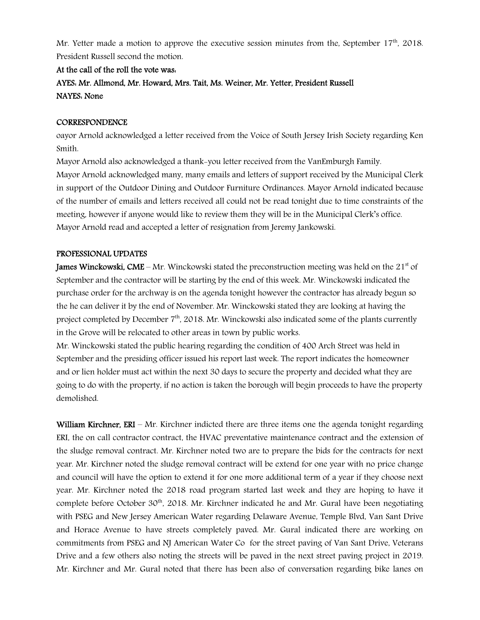Mr. Yetter made a motion to approve the executive session minutes from the, September 17<sup>th</sup>, 2018. President Russell second the motion.

### At the call of the roll the vote was:

AYES: Mr. Allmond, Mr. Howard, Mrs. Tait, Ms. Weiner, Mr. Yetter, President Russell NAYES: None

### **CORRESPONDENCE**

oayor Arnold acknowledged a letter received from the Voice of South Jersey Irish Society regarding Ken Smith.

Mayor Arnold also acknowledged a thank-you letter received from the VanEmburgh Family. Mayor Arnold acknowledged many, many emails and letters of support received by the Municipal Clerk in support of the Outdoor Dining and Outdoor Furniture Ordinances. Mayor Arnold indicated because of the number of emails and letters received all could not be read tonight due to time constraints of the meeting, however if anyone would like to review them they will be in the Municipal Clerk's office. Mayor Arnold read and accepted a letter of resignation from Jeremy Jankowski.

### PROFESSIONAL UPDATES

**James Winckowski, CME** – Mr. Winckowski stated the preconstruction meeting was held on the 21<sup>st</sup> of September and the contractor will be starting by the end of this week. Mr. Winckowski indicated the purchase order for the archway is on the agenda tonight however the contractor has already begun so the he can deliver it by the end of November. Mr. Winckowski stated they are looking at having the project completed by December  $7<sup>th</sup>$ , 2018. Mr. Winckowski also indicated some of the plants currently in the Grove will be relocated to other areas in town by public works.

Mr. Winckowski stated the public hearing regarding the condition of 400 Arch Street was held in September and the presiding officer issued his report last week. The report indicates the homeowner and or lien holder must act within the next 30 days to secure the property and decided what they are going to do with the property, if no action is taken the borough will begin proceeds to have the property demolished.

William Kirchner, ERI – Mr. Kirchner indicted there are three items one the agenda tonight regarding ERI, the on call contractor contract, the HVAC preventative maintenance contract and the extension of the sludge removal contract. Mr. Kirchner noted two are to prepare the bids for the contracts for next year. Mr. Kirchner noted the sludge removal contract will be extend for one year with no price change and council will have the option to extend it for one more additional term of a year if they choose next year. Mr. Kirchner noted the 2018 road program started last week and they are hoping to have it complete before October 30<sup>th</sup>, 2018. Mr. Kirchner indicated he and Mr. Gural have been negotiating with PSEG and New Jersey American Water regarding Delaware Avenue, Temple Blvd, Van Sant Drive and Horace Avenue to have streets completely paved. Mr. Gural indicated there are working on commitments from PSEG and NJ American Water Co for the street paving of Van Sant Drive, Veterans Drive and a few others also noting the streets will be paved in the next street paving project in 2019. Mr. Kirchner and Mr. Gural noted that there has been also of conversation regarding bike lanes on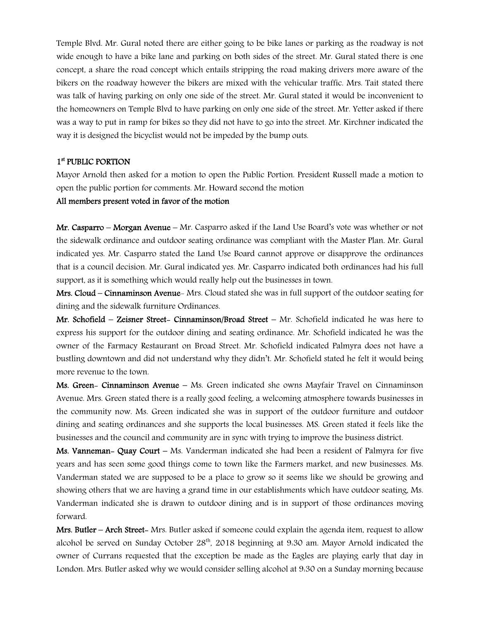Temple Blvd. Mr. Gural noted there are either going to be bike lanes or parking as the roadway is not wide enough to have a bike lane and parking on both sides of the street. Mr. Gural stated there is one concept, a share the road concept which entails stripping the road making drivers more aware of the bikers on the roadway however the bikers are mixed with the vehicular traffic. Mrs. Tait stated there was talk of having parking on only one side of the street. Mr. Gural stated it would be inconvenient to the homeowners on Temple Blvd to have parking on only one side of the street. Mr. Yetter asked if there was a way to put in ramp for bikes so they did not have to go into the street. Mr. Kirchner indicated the way it is designed the bicyclist would not be impeded by the bump outs.

### 1st PUBLIC PORTION

Mayor Arnold then asked for a motion to open the Public Portion. President Russell made a motion to open the public portion for comments. Mr. Howard second the motion

#### All members present voted in favor of the motion

Mr. Casparro – Morgan Avenue – Mr. Casparro asked if the Land Use Board's vote was whether or not the sidewalk ordinance and outdoor seating ordinance was compliant with the Master Plan. Mr. Gural indicated yes. Mr. Casparro stated the Land Use Board cannot approve or disapprove the ordinances that is a council decision. Mr. Gural indicated yes. Mr. Casparro indicated both ordinances had his full support, as it is something which would really help out the businesses in town.

Mrs. Cloud – Cinnaminson Avenue- Mrs. Cloud stated she was in full support of the outdoor seating for dining and the sidewalk furniture Ordinances.

Mr. Schofield – Zeisner Street- Cinnaminson/Broad Street – Mr. Schofield indicated he was here to express his support for the outdoor dining and seating ordinance. Mr. Schofield indicated he was the owner of the Farmacy Restaurant on Broad Street. Mr. Schofield indicated Palmyra does not have a bustling downtown and did not understand why they didn't. Mr. Schofield stated he felt it would being more revenue to the town.

Ms. Green- Cinnaminson Avenue – Ms. Green indicated she owns Mayfair Travel on Cinnaminson Avenue. Mrs. Green stated there is a really good feeling, a welcoming atmosphere towards businesses in the community now. Ms. Green indicated she was in support of the outdoor furniture and outdoor dining and seating ordinances and she supports the local businesses. MS. Green stated it feels like the businesses and the council and community are in sync with trying to improve the business district.

Ms. Vanneman- Quay Court – Ms. Vanderman indicated she had been a resident of Palmyra for five years and has seen some good things come to town like the Farmers market, and new businesses. Ms. Vanderman stated we are supposed to be a place to grow so it seems like we should be growing and showing others that we are having a grand time in our establishments which have outdoor seating. Ms. Vanderman indicated she is drawn to outdoor dining and is in support of those ordinances moving forward.

Mrs. Butler – Arch Street- Mrs. Butler asked if someone could explain the agenda item, request to allow alcohol be served on Sunday October 28<sup>th</sup>, 2018 beginning at 9.30 am. Mayor Arnold indicated the owner of Currans requested that the exception be made as the Eagles are playing early that day in London. Mrs. Butler asked why we would consider selling alcohol at 9:30 on a Sunday morning because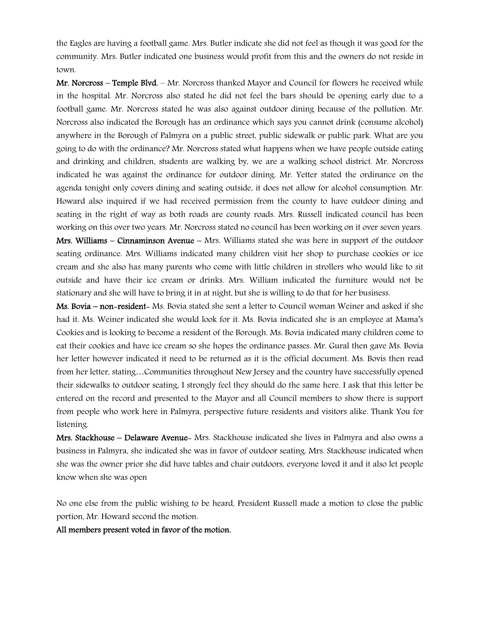the Eagles are having a football game. Mrs. Butler indicate she did not feel as though it was good for the community. Mrs. Butler indicated one business would profit from this and the owners do not reside in town.

 $Mr.$  Norcross – Temple Blyd. – Mr. Norcross thanked Mayor and Council for flowers he received while in the hospital. Mr. Norcross also stated he did not feel the bars should be opening early due to a football game. Mr. Norcross stated he was also against outdoor dining because of the pollution. Mr. Norcross also indicated the Borough has an ordinance which says you cannot drink (consume alcohol) anywhere in the Borough of Palmyra on a public street, public sidewalk or public park. What are you going to do with the ordinance? Mr. Norcross stated what happens when we have people outside eating and drinking and children, students are walking by, we are a walking school district. Mr. Norcross indicated he was against the ordinance for outdoor dining. Mr. Yetter stated the ordinance on the agenda tonight only covers dining and seating outside, it does not allow for alcohol consumption. Mr. Howard also inquired if we had received permission from the county to have outdoor dining and seating in the right of way as both roads are county roads. Mrs. Russell indicated council has been working on this over two years. Mr. Norcross stated no council has been working on it over seven years.

Mrs. Williams – Cinnaminson Avenue – Mrs. Williams stated she was here in support of the outdoor seating ordinance. Mrs. Williams indicated many children visit her shop to purchase cookies or ice cream and she also has many parents who come with little children in strollers who would like to sit outside and have their ice cream or drinks. Mrs. William indicated the furniture would not be stationary and she will have to bring it in at night, but she is willing to do that for her business.

Ms. Bovia – non-resident- Ms. Bovia stated she sent a letter to Council woman Weiner and asked if she had it. Ms. Weiner indicated she would look for it. Ms. Bovia indicated she is an employee at Mama's Cookies and is looking to become a resident of the Borough. Ms. Bovia indicated many children come to eat their cookies and have ice cream so she hopes the ordinance passes. Mr. Gural then gave Ms. Bovia her letter however indicated it need to be returned as it is the official document. Ms. Bovis then read from her letter, stating…Communities throughout New Jersey and the country have successfully opened their sidewalks to outdoor seating, I strongly feel they should do the same here. I ask that this letter be entered on the record and presented to the Mayor and all Council members to show there is support from people who work here in Palmyra, perspective future residents and visitors alike. Thank You for listening.

Mrs. Stackhouse – Delaware Avenue- Mrs. Stackhouse indicated she lives in Palmyra and also owns a business in Palmyra, she indicated she was in favor of outdoor seating. Mrs. Stackhouse indicated when she was the owner prior she did have tables and chair outdoors, everyone loved it and it also let people know when she was open

No one else from the public wishing to be heard, President Russell made a motion to close the public portion, Mr. Howard second the motion.

All members present voted in favor of the motion.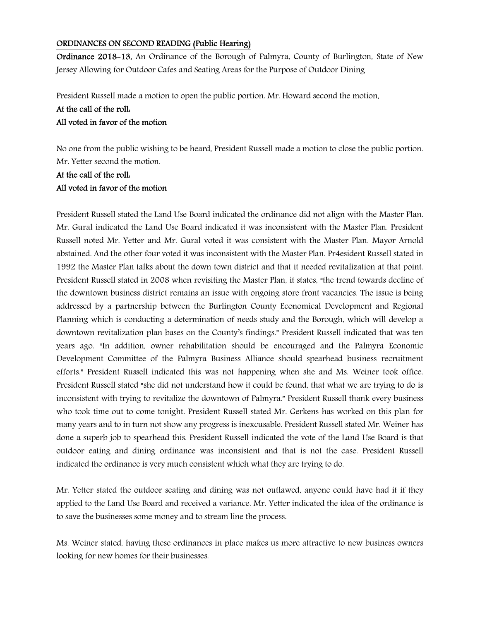#### ORDINANCES ON SECOND READING (Public Hearing)

Ordinance 2018-13, An Ordinance of the Borough of Palmyra, County of Burlington, State of New Jersey Allowing for Outdoor Cafes and Seating Areas for the Purpose of Outdoor Dining

President Russell made a motion to open the public portion. Mr. Howard second the motion.

### At the call of the roll:

### All voted in favor of the motion

No one from the public wishing to be heard, President Russell made a motion to close the public portion. Mr. Yetter second the motion.

# At the call of the roll: All voted in favor of the motion

President Russell stated the Land Use Board indicated the ordinance did not align with the Master Plan. Mr. Gural indicated the Land Use Board indicated it was inconsistent with the Master Plan. President Russell noted Mr. Yetter and Mr. Gural voted it was consistent with the Master Plan. Mayor Arnold abstained. And the other four voted it was inconsistent with the Master Plan. Pr4esident Russell stated in 1992 the Master Plan talks about the down town district and that it needed revitalization at that point. President Russell stated in 2008 when revisiting the Master Plan, it states, "the trend towards decline of the downtown business district remains an issue with ongoing store front vacancies. The issue is being addressed by a partnership between the Burlington County Economical Development and Regional Planning which is conducting a determination of needs study and the Borough, which will develop a downtown revitalization plan bases on the County's findings." President Russell indicated that was ten years ago. "In addition, owner rehabilitation should be encouraged and the Palmyra Economic Development Committee of the Palmyra Business Alliance should spearhead business recruitment efforts." President Russell indicated this was not happening when she and Ms. Weiner took office. President Russell stated "she did not understand how it could be found, that what we are trying to do is inconsistent with trying to revitalize the downtown of Palmyra." President Russell thank every business who took time out to come tonight. President Russell stated Mr. Gerkens has worked on this plan for many years and to in turn not show any progress is inexcusable. President Russell stated Mr. Weiner has done a superb job to spearhead this. President Russell indicated the vote of the Land Use Board is that outdoor eating and dining ordinance was inconsistent and that is not the case. President Russell indicated the ordinance is very much consistent which what they are trying to do.

Mr. Yetter stated the outdoor seating and dining was not outlawed, anyone could have had it if they applied to the Land Use Board and received a variance. Mr. Yetter indicated the idea of the ordinance is to save the businesses some money and to stream line the process.

Ms. Weiner stated, having these ordinances in place makes us more attractive to new business owners looking for new homes for their businesses.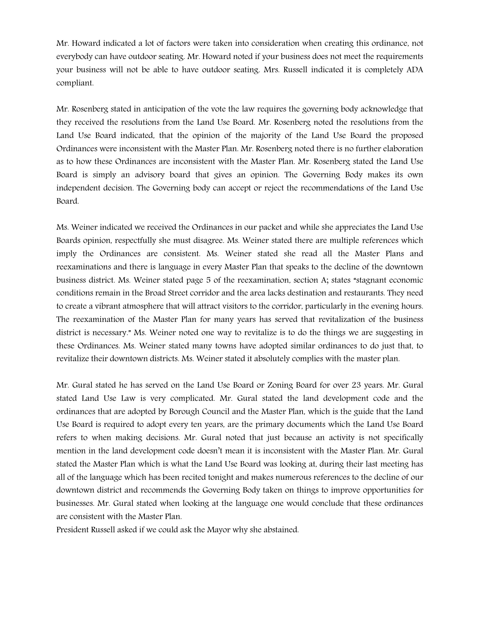Mr. Howard indicated a lot of factors were taken into consideration when creating this ordinance, not everybody can have outdoor seating. Mr. Howard noted if your business does not meet the requirements your business will not be able to have outdoor seating. Mrs. Russell indicated it is completely ADA compliant.

Mr. Rosenberg stated in anticipation of the vote the law requires the governing body acknowledge that they received the resolutions from the Land Use Board. Mr. Rosenberg noted the resolutions from the Land Use Board indicated, that the opinion of the majority of the Land Use Board the proposed Ordinances were inconsistent with the Master Plan. Mr. Rosenberg noted there is no further elaboration as to how these Ordinances are inconsistent with the Master Plan. Mr. Rosenberg stated the Land Use Board is simply an advisory board that gives an opinion. The Governing Body makes its own independent decision. The Governing body can accept or reject the recommendations of the Land Use Board.

Ms. Weiner indicated we received the Ordinances in our packet and while she appreciates the Land Use Boards opinion, respectfully she must disagree. Ms. Weiner stated there are multiple references which imply the Ordinances are consistent. Ms. Weiner stated she read all the Master Plans and reexaminations and there is language in every Master Plan that speaks to the decline of the downtown business district. Ms. Weiner stated page 5 of the reexamination, section A; states "stagnant economic conditions remain in the Broad Street corridor and the area lacks destination and restaurants. They need to create a vibrant atmosphere that will attract visitors to the corridor, particularly in the evening hours. The reexamination of the Master Plan for many years has served that revitalization of the business district is necessary." Ms. Weiner noted one way to revitalize is to do the things we are suggesting in these Ordinances. Ms. Weiner stated many towns have adopted similar ordinances to do just that, to revitalize their downtown districts. Ms. Weiner stated it absolutely complies with the master plan.

Mr. Gural stated he has served on the Land Use Board or Zoning Board for over 23 years. Mr. Gural stated Land Use Law is very complicated. Mr. Gural stated the land development code and the ordinances that are adopted by Borough Council and the Master Plan, which is the guide that the Land Use Board is required to adopt every ten years, are the primary documents which the Land Use Board refers to when making decisions. Mr. Gural noted that just because an activity is not specifically mention in the land development code doesn't mean it is inconsistent with the Master Plan. Mr. Gural stated the Master Plan which is what the Land Use Board was looking at, during their last meeting has all of the language which has been recited tonight and makes numerous references to the decline of our downtown district and recommends the Governing Body taken on things to improve opportunities for businesses. Mr. Gural stated when looking at the language one would conclude that these ordinances are consistent with the Master Plan.

President Russell asked if we could ask the Mayor why she abstained.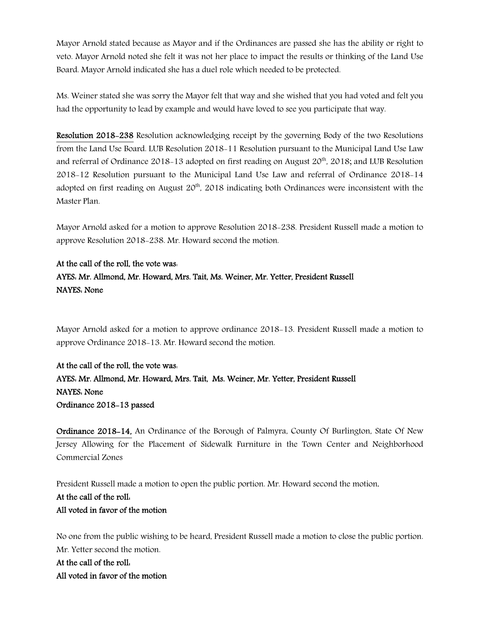Mayor Arnold stated because as Mayor and if the Ordinances are passed she has the ability or right to veto. Mayor Arnold noted she felt it was not her place to impact the results or thinking of the Land Use Board. Mayor Arnold indicated she has a duel role which needed to be protected.

Ms. Weiner stated she was sorry the Mayor felt that way and she wished that you had voted and felt you had the opportunity to lead by example and would have loved to see you participate that way.

Resolution 2018-238 Resolution acknowledging receipt by the governing Body of the two Resolutions from the Land Use Board. LUB Resolution 2018-11 Resolution pursuant to the Municipal Land Use Law and referral of Ordinance 2018-13 adopted on first reading on August  $20<sup>th</sup>$ , 2018; and LUB Resolution 2018-12 Resolution pursuant to the Municipal Land Use Law and referral of Ordinance 2018-14 adopted on first reading on August 20<sup>th</sup>, 2018 indicating both Ordinances were inconsistent with the Master Plan.

Mayor Arnold asked for a motion to approve Resolution 2018-238. President Russell made a motion to approve Resolution 2018-238. Mr. Howard second the motion.

### At the call of the roll, the vote was:

# AYES: Mr. Allmond, Mr. Howard, Mrs. Tait, Ms. Weiner, Mr. Yetter, President Russell NAYES: None

Mayor Arnold asked for a motion to approve ordinance 2018-13. President Russell made a motion to approve Ordinance 2018-13. Mr. Howard second the motion.

At the call of the roll, the vote was: AYES: Mr. Allmond, Mr. Howard, Mrs. Tait, Ms. Weiner, Mr. Yetter, President Russell NAYES: None Ordinance 2018-13 passed

Ordinance 2018-14, An Ordinance of the Borough of Palmyra, County Of Burlington, State Of New Jersey Allowing for the Placement of Sidewalk Furniture in the Town Center and Neighborhood Commercial Zones

President Russell made a motion to open the public portion. Mr. Howard second the motion.

# At the call of the roll: All voted in favor of the motion

No one from the public wishing to be heard, President Russell made a motion to close the public portion. Mr. Yetter second the motion.

At the call of the roll: All voted in favor of the motion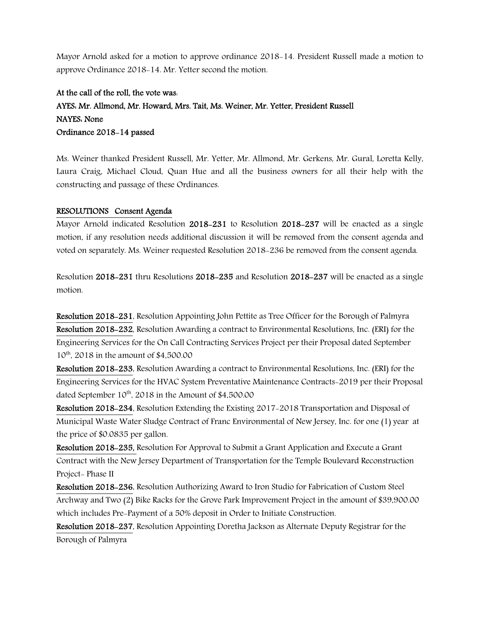Mayor Arnold asked for a motion to approve ordinance 2018-14. President Russell made a motion to approve Ordinance 2018-14. Mr. Yetter second the motion.

# At the call of the roll, the vote was: AYES: Mr. Allmond, Mr. Howard, Mrs. Tait, Ms. Weiner, Mr. Yetter, President Russell NAYES: None Ordinance 2018-14 passed

Ms. Weiner thanked President Russell, Mr. Yetter, Mr. Allmond, Mr. Gerkens, Mr. Gural, Loretta Kelly, Laura Craig, Michael Cloud, Quan Hue and all the business owners for all their help with the constructing and passage of these Ordinances.

### RESOLUTIONS Consent Agenda

Mayor Arnold indicated Resolution 2018-231 to Resolution 2018-237 will be enacted as a single motion, if any resolution needs additional discussion it will be removed from the consent agenda and voted on separately. Ms. Weiner requested Resolution 2018-236 be removed from the consent agenda.

Resolution 2018-231 thru Resolutions 2018-235 and Resolution 2018-237 will be enacted as a single motion.

Resolution 2018-231, Resolution Appointing John Pettite as Tree Officer for the Borough of Palmyra Resolution 2018-232, Resolution Awarding a contract to Environmental Resolutions, Inc. (ERI) for the Engineering Services for the On Call Contracting Services Project per their Proposal dated September  $10^{th}$ , 2018 in the amount of \$4,500.00

Resolution 2018-233, Resolution Awarding a contract to Environmental Resolutions, Inc. (ERI) for the Engineering Services for the HVAC System Preventative Maintenance Contracts-2019 per their Proposal dated September  $10^{th}$ , 2018 in the Amount of \$4,500.00

Resolution 2018-234, Resolution Extending the Existing 2017-2018 Transportation and Disposal of Municipal Waste Water Sludge Contract of Franc Environmental of New Jersey, Inc. for one (1) year at the price of \$0.0835 per gallon.

Resolution 2018-235, Resolution For Approval to Submit a Grant Application and Execute a Grant Contract with the New Jersey Department of Transportation for the Temple Boulevard Reconstruction Project- Phase II

Resolution 2018-236, Resolution Authorizing Award to Iron Studio for Fabrication of Custom Steel Archway and Two (2) Bike Racks for the Grove Park Improvement Project in the amount of \$39,900.00 which includes Pre-Payment of a 50% deposit in Order to Initiate Construction.

Resolution 2018-237, Resolution Appointing Doretha Jackson as Alternate Deputy Registrar for the Borough of Palmyra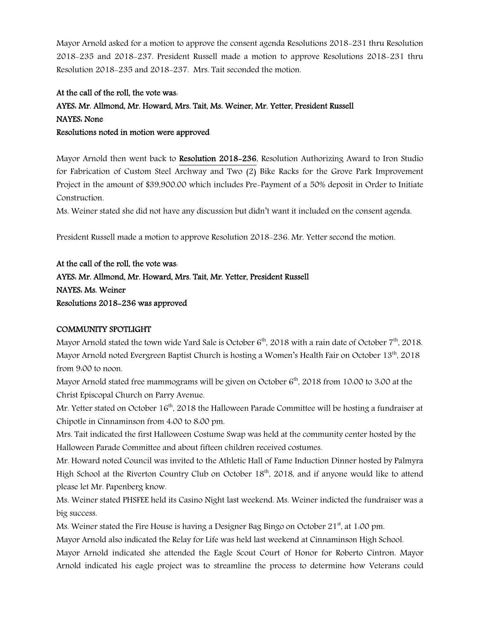Mayor Arnold asked for a motion to approve the consent agenda Resolutions 2018-231 thru Resolution 2018-235 and 2018-237. President Russell made a motion to approve Resolutions 2018-231 thru Resolution 2018-235 and 2018-237. Mrs. Tait seconded the motion.

# At the call of the roll, the vote was: AYES: Mr. Allmond, Mr. Howard, Mrs. Tait, Ms. Weiner, Mr. Yetter, President Russell NAYES: None Resolutions noted in motion were approved

Mayor Arnold then went back to Resolution 2018-236, Resolution Authorizing Award to Iron Studio for Fabrication of Custom Steel Archway and Two (2) Bike Racks for the Grove Park Improvement Project in the amount of \$39,900.00 which includes Pre-Payment of a 50% deposit in Order to Initiate Construction.

Ms. Weiner stated she did not have any discussion but didn't want it included on the consent agenda.

President Russell made a motion to approve Resolution 2018-236. Mr. Yetter second the motion.

### At the call of the roll, the vote was:

# AYES: Mr. Allmond, Mr. Howard, Mrs. Tait, Mr. Yetter, President Russell NAYES: Ms. Weiner Resolutions 2018-236 was approved

### COMMUNITY SPOTLIGHT

Mayor Arnold stated the town wide Yard Sale is October  $6<sup>th</sup>$ , 2018 with a rain date of October  $7<sup>th</sup>$ , 2018. Mayor Arnold noted Evergreen Baptist Church is hosting a Women's Health Fair on October 13th, 2018 from 9:00 to noon.

Mayor Arnold stated free mammograms will be given on October  $6<sup>th</sup>$ , 2018 from 10:00 to 3:00 at the Christ Episcopal Church on Parry Avenue.

Mr. Yetter stated on October 16<sup>th</sup>, 2018 the Halloween Parade Committee will be hosting a fundraiser at Chipotle in Cinnaminson from 4:00 to 8:00 pm.

Mrs. Tait indicated the first Halloween Costume Swap was held at the community center hosted by the Halloween Parade Committee and about fifteen children received costumes.

Mr. Howard noted Council was invited to the Athletic Hall of Fame Induction Dinner hosted by Palmyra High School at the Riverton Country Club on October 18<sup>th</sup>, 2018, and if anyone would like to attend please let Mr. Papenberg know.

Ms. Weiner stated PHSFEE held its Casino Night last weekend. Ms. Weiner indicted the fundraiser was a big success.

Ms. Weiner stated the Fire House is having a Designer Bag Bingo on October  $21<sup>st</sup>$ , at 1.00 pm.

Mayor Arnold also indicated the Relay for Life was held last weekend at Cinnaminson High School.

Mayor Arnold indicated she attended the Eagle Scout Court of Honor for Roberto Cintron. Mayor Arnold indicated his eagle project was to streamline the process to determine how Veterans could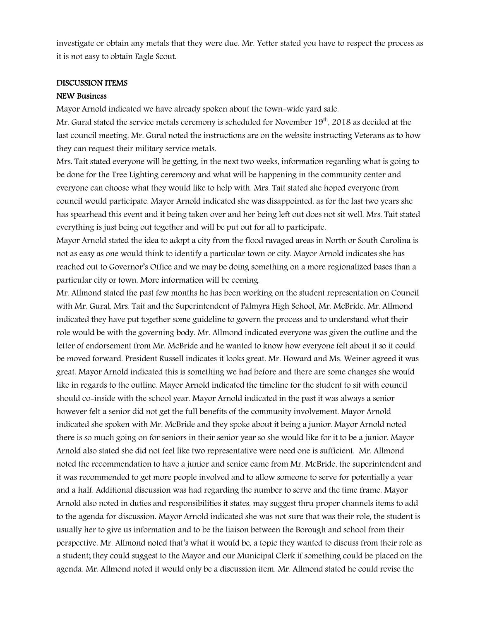investigate or obtain any metals that they were due. Mr. Yetter stated you have to respect the process as it is not easy to obtain Eagle Scout.

#### DISCUSSION ITEMS

#### NEW Business

Mayor Arnold indicated we have already spoken about the town-wide yard sale.

Mr. Gural stated the service metals ceremony is scheduled for November  $19<sup>th</sup>$ , 2018 as decided at the last council meeting. Mr. Gural noted the instructions are on the website instructing Veterans as to how they can request their military service metals.

Mrs. Tait stated everyone will be getting, in the next two weeks, information regarding what is going to be done for the Tree Lighting ceremony and what will be happening in the community center and everyone can choose what they would like to help with. Mrs. Tait stated she hoped everyone from council would participate. Mayor Arnold indicated she was disappointed, as for the last two years she has spearhead this event and it being taken over and her being left out does not sit well. Mrs. Tait stated everything is just being out together and will be put out for all to participate.

Mayor Arnold stated the idea to adopt a city from the flood ravaged areas in North or South Carolina is not as easy as one would think to identify a particular town or city. Mayor Arnold indicates she has reached out to Governor's Office and we may be doing something on a more regionalized bases than a particular city or town. More information will be coming.

Mr. Allmond stated the past few months he has been working on the student representation on Council with Mr. Gural, Mrs. Tait and the Superintendent of Palmyra High School, Mr. McBride. Mr. Allmond indicated they have put together some guideline to govern the process and to understand what their role would be with the governing body. Mr. Allmond indicated everyone was given the outline and the letter of endorsement from Mr. McBride and he wanted to know how everyone felt about it so it could be moved forward. President Russell indicates it looks great. Mr. Howard and Ms. Weiner agreed it was great. Mayor Arnold indicated this is something we had before and there are some changes she would like in regards to the outline. Mayor Arnold indicated the timeline for the student to sit with council should co-inside with the school year. Mayor Arnold indicated in the past it was always a senior however felt a senior did not get the full benefits of the community involvement. Mayor Arnold indicated she spoken with Mr. McBride and they spoke about it being a junior. Mayor Arnold noted there is so much going on for seniors in their senior year so she would like for it to be a junior. Mayor Arnold also stated she did not feel like two representative were need one is sufficient. Mr. Allmond noted the recommendation to have a junior and senior came from Mr. McBride, the superintendent and it was recommended to get more people involved and to allow someone to serve for potentially a year and a half. Additional discussion was had regarding the number to serve and the time frame. Mayor Arnold also noted in duties and responsibilities it states, may suggest thru proper channels items to add to the agenda for discussion. Mayor Arnold indicated she was not sure that was their role, the student is usually her to give us information and to be the liaison between the Borough and school from their perspective. Mr. Allmond noted that's what it would be, a topic they wanted to discuss from their role as a student; they could suggest to the Mayor and our Municipal Clerk if something could be placed on the agenda. Mr. Allmond noted it would only be a discussion item. Mr. Allmond stated he could revise the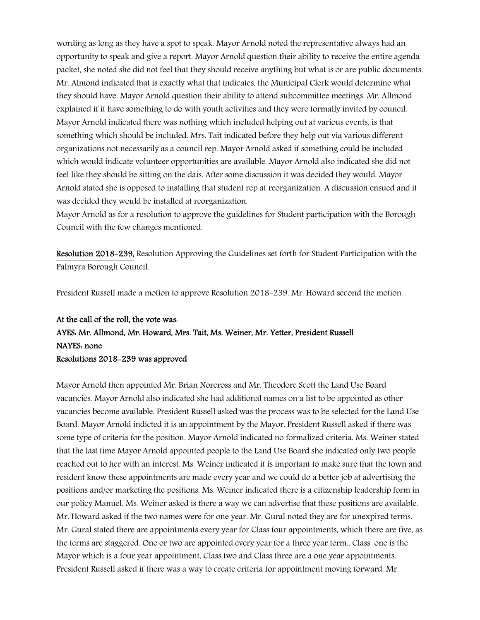wording as long as they have a spot to speak. Mayor Arnold noted the representative always had an opportunity to speak and give a report. Mayor Arnold question their ability to receive the entire agenda packet, she noted she did not feel that they should receive anything but what is or are public documents. Mr. Almond indicated that is exactly what that indicates, the Municipal Clerk would determine what they should have. Mayor Arnold question their ability to attend subcommittee meetings. Mr. Allmond explained if it have something to do with youth activities and they were formally invited by council. Mayor Arnold indicated there was nothing which included helping out at various events, is that something which should be included. Mrs. Tait indicated before they help out via various different organizations not necessarily as a council rep. Mayor Arnold asked if something could be included which would indicate volunteer opportunities are available. Mayor Arnold also indicated she did not feel like they should be sitting on the dais. After some discussion it was decided they would. Mayor Arnold stated she is opposed to installing that student rep at reorganization. A discussion ensued and it was decided they would be installed at reorganization.

Mayor Arnold as for a resolution to approve the guidelines for Student participation with the Borough Council with the few changes mentioned.

Resolution 2018-239, Resolution Approving the Guidelines set forth for Student Participation with the Palmyra Borough Council.

President Russell made a motion to approve Resolution 2018-239. Mr. Howard second the motion.

# At the call of the roll, the vote was: AYES: Mr. Allmond, Mr. Howard, Mrs. Tait, Ms. Weiner, Mr. Yetter, President Russell NAYES: none

### Resolutions 2018-239 was approved

Mayor Arnold then appointed Mr. Brian Norcross and Mr. Theodore Scott the Land Use Board vacancies. Mayor Arnold also indicated she had additional names on a list to be appointed as other vacancies become available. President Russell asked was the process was to be selected for the Land Use Board. Mayor Arnold indicted it is an appointment by the Mayor. President Russell asked if there was some type of criteria for the position. Mayor Arnold indicated no formalized criteria. Ms. Weiner stated that the last time Mayor Arnold appointed people to the Land Use Board she indicated only two people reached out to her with an interest. Ms. Weiner indicated it is important to make sure that the town and resident know these appointments are made every year and we could do a better job at advertising the positions and/or marketing the positions. Ms. Weiner indicated there is a citizenship leadership form in our policy Manuel. Ms. Weiner asked is there a way we can advertise that these positions are available. Mr. Howard asked if the two names were for one year. Mr. Gural noted they are for unexpired terms. Mr. Gural stated there are appointments every year for Class four appointments, which there are five, as the terms are staggered. One or two are appointed every year for a three year term., Class one is the Mayor which is a four year appointment, Class two and Class three are a one year appointments. President Russell asked if there was a way to create criteria for appointment moving forward. Mr.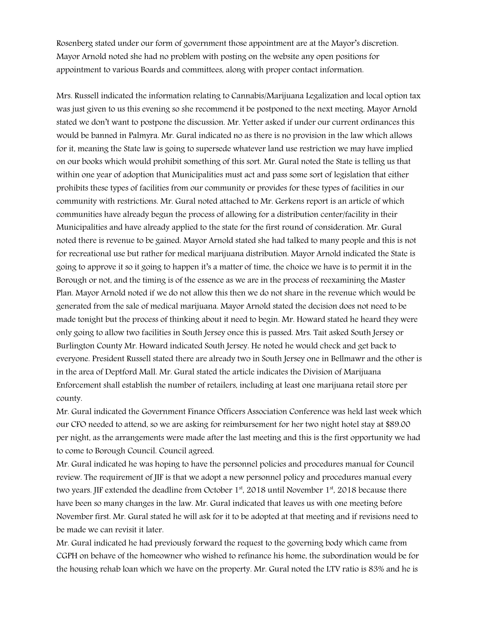Rosenberg stated under our form of government those appointment are at the Mayor's discretion. Mayor Arnold noted she had no problem with posting on the website any open positions for appointment to various Boards and committees, along with proper contact information.

Mrs. Russell indicated the information relating to Cannabis/Marijuana Legalization and local option tax was just given to us this evening so she recommend it be postponed to the next meeting. Mayor Arnold stated we don't want to postpone the discussion. Mr. Yetter asked if under our current ordinances this would be banned in Palmyra. Mr. Gural indicated no as there is no provision in the law which allows for it, meaning the State law is going to supersede whatever land use restriction we may have implied on our books which would prohibit something of this sort. Mr. Gural noted the State is telling us that within one year of adoption that Municipalities must act and pass some sort of legislation that either prohibits these types of facilities from our community or provides for these types of facilities in our community with restrictions. Mr. Gural noted attached to Mr. Gerkens report is an article of which communities have already begun the process of allowing for a distribution center/facility in their Municipalities and have already applied to the state for the first round of consideration. Mr. Gural noted there is revenue to be gained. Mayor Arnold stated she had talked to many people and this is not for recreational use but rather for medical marijuana distribution. Mayor Arnold indicated the State is going to approve it so it going to happen it's a matter of time, the choice we have is to permit it in the Borough or not, and the timing is of the essence as we are in the process of reexamining the Master Plan. Mayor Arnold noted if we do not allow this then we do not share in the revenue which would be generated from the sale of medical marijuana. Mayor Arnold stated the decision does not need to be made tonight but the process of thinking about it need to begin. Mr. Howard stated he heard they were only going to allow two facilities in South Jersey once this is passed. Mrs. Tait asked South Jersey or Burlington County Mr. Howard indicated South Jersey. He noted he would check and get back to everyone. President Russell stated there are already two in South Jersey one in Bellmawr and the other is in the area of Deptford Mall. Mr. Gural stated the article indicates the Division of Marijuana Enforcement shall establish the number of retailers, including at least one marijuana retail store per county.

Mr. Gural indicated the Government Finance Officers Association Conference was held last week which our CFO needed to attend, so we are asking for reimbursement for her two night hotel stay at \$89.00 per night, as the arrangements were made after the last meeting and this is the first opportunity we had to come to Borough Council. Council agreed.

Mr. Gural indicated he was hoping to have the personnel policies and procedures manual for Council review. The requirement of JIF is that we adopt a new personnel policy and procedures manual every two years. JIF extended the deadline from October  $1<sup>st</sup>$ , 2018 until November  $1<sup>st</sup>$ , 2018 because there have been so many changes in the law. Mr. Gural indicated that leaves us with one meeting before November first. Mr. Gural stated he will ask for it to be adopted at that meeting and if revisions need to be made we can revisit it later.

Mr. Gural indicated he had previously forward the request to the governing body which came from CGPH on behave of the homeowner who wished to refinance his home, the subordination would be for the housing rehab loan which we have on the property. Mr. Gural noted the LTV ratio is 83% and he is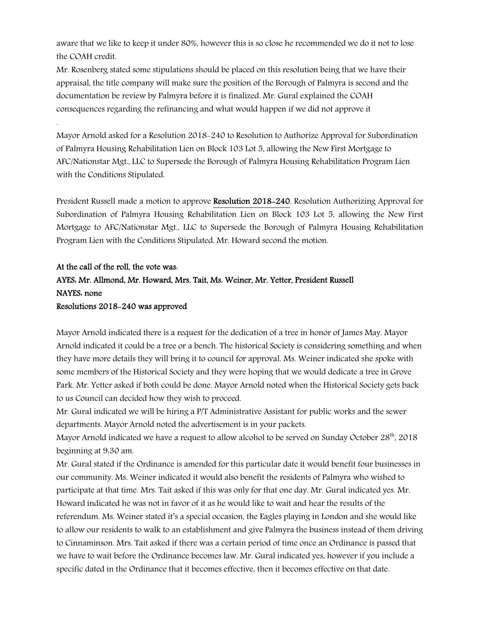aware that we like to keep it under 80%, however this is so close he recommended we do it not to lose the COAH credit.

Mr. Rosenberg stated some stipulations should be placed on this resolution being that we have their appraisal, the title company will make sure the position of the Borough of Palmyra is second and the documentation be review by Palmyra before it is finalized. Mr. Gural explained the COAH consequences regarding the refinancing and what would happen if we did not approve it

Mayor Arnold asked for a Resolution 2018-240 to Resolution to Authorize Approval for Subordination of Palmyra Housing Rehabilitation Lien on Block 103 Lot 5, allowing the New First Mortgage to AFC/Nationstar Mgt., LLC to Supersede the Borough of Palmyra Housing Rehabilitation Program Lien with the Conditions Stipulated.

President Russell made a motion to approve Resolution 2018-240. Resolution Authorizing Approval for Subordination of Palmyra Housing Rehabilitation Lien on Block 103 Lot 5, allowing the New First Mortgage to AFC/Nationstar Mgt., LLC to Supersede the Borough of Palmyra Housing Rehabilitation Program Lien with the Conditions Stipulated. Mr. Howard second the motion.

# At the call of the roll, the vote was: AYES: Mr. Allmond, Mr. Howard, Mrs. Tait, Ms. Weiner, Mr. Yetter, President Russell NAYES: none Resolutions 2018-240 was approved

.

Mayor Arnold indicated there is a request for the dedication of a tree in honor of James May. Mayor Arnold indicated it could be a tree or a bench. The historical Society is considering something and when they have more details they will bring it to council for approval. Ms. Weiner indicated she spoke with some members of the Historical Society and they were hoping that we would dedicate a tree in Grove Park. Mr. Yetter asked if both could be done. Mayor Arnold noted when the Historical Society gets back to us Council can decided how they wish to proceed.

Mr. Gural indicated we will be hiring a P/T Administrative Assistant for public works and the sewer departments. Mayor Arnold noted the advertisement is in your packets.

Mayor Arnold indicated we have a request to allow alcohol to be served on Sunday October  $28<sup>th</sup>$ , 2018 beginning at 9:30 am.

Mr. Gural stated if the Ordinance is amended for this particular date it would benefit four businesses in our community. Ms. Weiner indicated it would also benefit the residents of Palmyra who wished to participate at that time. Mrs. Tait asked if this was only for that one day. Mr. Gural indicated yes. Mr. Howard indicated he was not in favor of it as he would like to wait and hear the results of the referendum. Ms. Weiner stated it's a special occasion, the Eagles playing in London and she would like to allow our residents to walk to an establishment and give Palmyra the business instead of them driving to Cinnaminson. Mrs. Tait asked if there was a certain period of time once an Ordinance is passed that we have to wait before the Ordinance becomes law. Mr. Gural indicated yes, however if you include a specific dated in the Ordinance that it becomes effective, then it becomes effective on that date.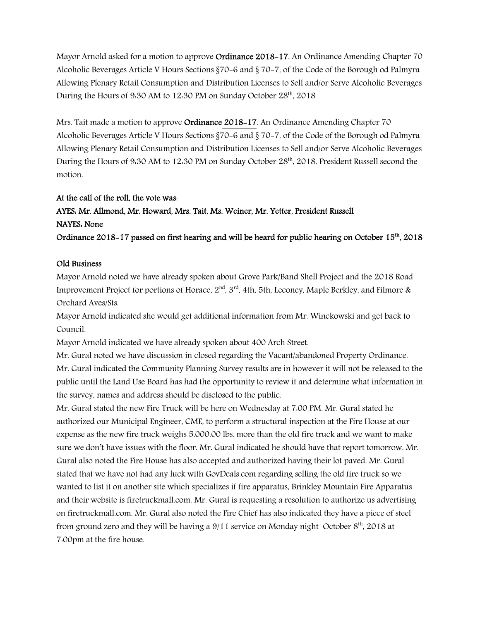Mayor Arnold asked for a motion to approve **Ordinance 2018-17**. An Ordinance Amending Chapter 70 Alcoholic Beverages Article V Hours Sections §70-6 and § 70-7, of the Code of the Borough od Palmyra Allowing Plenary Retail Consumption and Distribution Licenses to Sell and/or Serve Alcoholic Beverages During the Hours of 9.30 AM to 12.30 PM on Sunday October  $28<sup>th</sup>$ , 2018

Mrs. Tait made a motion to approve **Ordinance 2018–17**. An Ordinance Amending Chapter 70 Alcoholic Beverages Article V Hours Sections §70-6 and § 70-7, of the Code of the Borough od Palmyra Allowing Plenary Retail Consumption and Distribution Licenses to Sell and/or Serve Alcoholic Beverages During the Hours of 9.30 AM to 12.30 PM on Sunday October 28<sup>th</sup>, 2018. President Russell second the motion.

### At the call of the roll, the vote was:

# AYES: Mr. Allmond, Mr. Howard, Mrs. Tait, Ms. Weiner, Mr. Yetter, President Russell NAYES: None

Ordinance 2018-17 passed on first hearing and will be heard for public hearing on October 15<sup>th</sup>. 2018

### Old Business

Mayor Arnold noted we have already spoken about Grove Park/Band Shell Project and the 2018 Road Improvement Project for portions of Horace,  $2<sup>nd</sup>$ ,  $3<sup>rd</sup>$ , 4th, 5th, Leconey, Maple Berkley, and Filmore & Orchard Aves/Sts.

Mayor Arnold indicated she would get additional information from Mr. Winckowski and get back to Council.

Mayor Arnold indicated we have already spoken about 400 Arch Street.

Mr. Gural noted we have discussion in closed regarding the Vacant/abandoned Property Ordinance. Mr. Gural indicated the Community Planning Survey results are in however it will not be released to the public until the Land Use Board has had the opportunity to review it and determine what information in the survey, names and address should be disclosed to the public.

Mr. Gural stated the new Fire Truck will be here on Wednesday at 7:00 PM. Mr. Gural stated he authorized our Municipal Engineer, CME, to perform a structural inspection at the Fire House at our expense as the new fire truck weighs 5,000.00 lbs. more than the old fire truck and we want to make sure we don't have issues with the floor. Mr. Gural indicated he should have that report tomorrow. Mr. Gural also noted the Fire House has also accepted and authorized having their lot paved. Mr. Gural stated that we have not had any luck with GovDeals.com regarding selling the old fire truck so we wanted to list it on another site which specializes if fire apparatus, Brinkley Mountain Fire Apparatus and their website is firetruckmall.com. Mr. Gural is requesting a resolution to authorize us advertising on firetruckmall.com. Mr. Gural also noted the Fire Chief has also indicated they have a piece of steel from ground zero and they will be having a 9/11 service on Monday night October 8th, 2018 at 7:00pm at the fire house.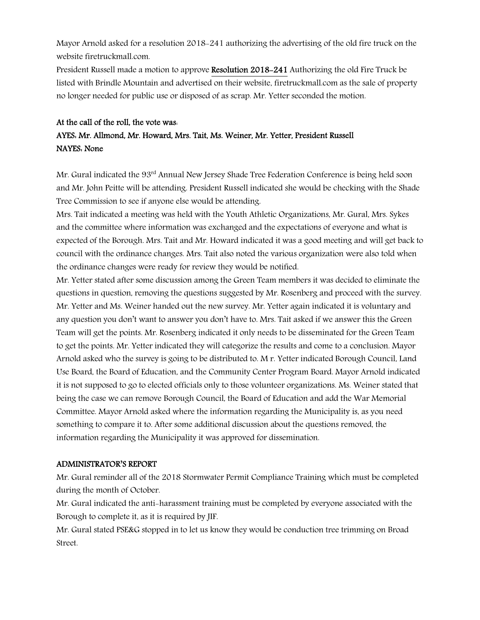Mayor Arnold asked for a resolution 2018-241 authorizing the advertising of the old fire truck on the website firetruckmall.com.

President Russell made a motion to approve Resolution 2018-241 Authorizing the old Fire Truck be listed with Brindle Mountain and advertised on their website, firetruckmall.com as the sale of property no longer needed for public use or disposed of as scrap. Mr. Yetter seconded the motion.

## At the call of the roll, the vote was: AYES: Mr. Allmond, Mr. Howard, Mrs. Tait, Ms. Weiner, Mr. Yetter, President Russell NAYES: None

Mr. Gural indicated the 93<sup>rd</sup> Annual New Jersey Shade Tree Federation Conference is being held soon and Mr. John Peitte will be attending. President Russell indicated she would be checking with the Shade Tree Commission to see if anyone else would be attending.

Mrs. Tait indicated a meeting was held with the Youth Athletic Organizations, Mr. Gural, Mrs. Sykes and the committee where information was exchanged and the expectations of everyone and what is expected of the Borough. Mrs. Tait and Mr. Howard indicated it was a good meeting and will get back to council with the ordinance changes. Mrs. Tait also noted the various organization were also told when the ordinance changes were ready for review they would be notified.

Mr. Yetter stated after some discussion among the Green Team members it was decided to eliminate the questions in question, removing the questions suggested by Mr. Rosenberg and proceed with the survey. Mr. Yetter and Ms. Weiner handed out the new survey. Mr. Yetter again indicated it is voluntary and any question you don't want to answer you don't have to. Mrs. Tait asked if we answer this the Green Team will get the points. Mr. Rosenberg indicated it only needs to be disseminated for the Green Team to get the points. Mr. Yetter indicated they will categorize the results and come to a conclusion. Mayor Arnold asked who the survey is going to be distributed to. M r. Yetter indicated Borough Council, Land Use Board, the Board of Education, and the Community Center Program Board. Mayor Arnold indicated it is not supposed to go to elected officials only to those volunteer organizations. Ms. Weiner stated that being the case we can remove Borough Council, the Board of Education and add the War Memorial Committee. Mayor Arnold asked where the information regarding the Municipality is, as you need something to compare it to. After some additional discussion about the questions removed, the information regarding the Municipality it was approved for dissemination.

#### ADMINISTRATOR'S REPORT

Mr. Gural reminder all of the 2018 Stormwater Permit Compliance Training which must be completed during the month of October.

Mr. Gural indicated the anti-harassment training must be completed by everyone associated with the Borough to complete it, as it is required by JIF.

Mr. Gural stated PSE&G stopped in to let us know they would be conduction tree trimming on Broad Street.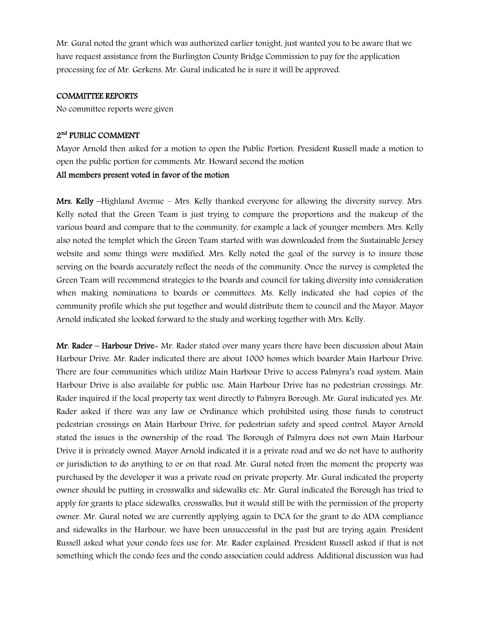Mr. Gural noted the grant which was authorized earlier tonight, just wanted you to be aware that we have request assistance from the Burlington County Bridge Commission to pay for the application processing fee of Mr. Gerkens. Mr. Gural indicated he is sure it will be approved.

#### COMMITTEE REPORTS

No committee reports were given

### 2nd PUBLIC COMMENT

Mayor Arnold then asked for a motion to open the Public Portion. President Russell made a motion to open the public portion for comments. Mr. Howard second the motion

#### All members present voted in favor of the motion

Mrs. Kelly –Highland Avenue – Mrs. Kelly thanked everyone for allowing the diversity survey. Mrs. Kelly noted that the Green Team is just trying to compare the proportions and the makeup of the various board and compare that to the community, for example a lack of younger members. Mrs. Kelly also noted the templet which the Green Team started with was downloaded from the Sustainable Jersey website and some things were modified. Mrs. Kelly noted the goal of the survey is to insure those serving on the boards accurately reflect the needs of the community. Once the survey is completed the Green Team will recommend strategies to the boards and council for taking diversity into consideration when making nominations to boards or committees. Ms. Kelly indicated she had copies of the community profile which she put together and would distribute them to council and the Mayor. Mayor Arnold indicated she looked forward to the study and working together with Mrs. Kelly.

Mr. Rader – Harbour Drive– Mr. Rader stated over many years there have been discussion about Main Harbour Drive. Mr. Rader indicated there are about 1000 homes which boarder Main Harbour Drive. There are four communities which utilize Main Harbour Drive to access Palmyra's road system. Main Harbour Drive is also available for public use. Main Harbour Drive has no pedestrian crossings. Mr. Rader inquired if the local property tax went directly to Palmyra Borough. Mr. Gural indicated yes. Mr. Rader asked if there was any law or Ordinance which prohibited using those funds to construct pedestrian crossings on Main Harbour Drive, for pedestrian safety and speed control. Mayor Arnold stated the issues is the ownership of the road. The Borough of Palmyra does not own Main Harbour Drive it is privately owned. Mayor Arnold indicated it is a private road and we do not have to authority or jurisdiction to do anything to or on that road. Mr. Gural noted from the moment the property was purchased by the developer it was a private road on private property. Mr. Gural indicated the property owner should be putting in crosswalks and sidewalks etc. Mr. Gural indicated the Borough has tried to apply for grants to place sidewalks, crosswalks, but it would still be with the permission of the property owner. Mr. Gural noted we are currently applying again to DCA for the grant to do ADA compliance and sidewalks in the Harbour, we have been unsuccessful in the past but are trying again. President Russell asked what your condo fees use for. Mr. Rader explained. President Russell asked if that is not something which the condo fees and the condo association could address. Additional discussion was had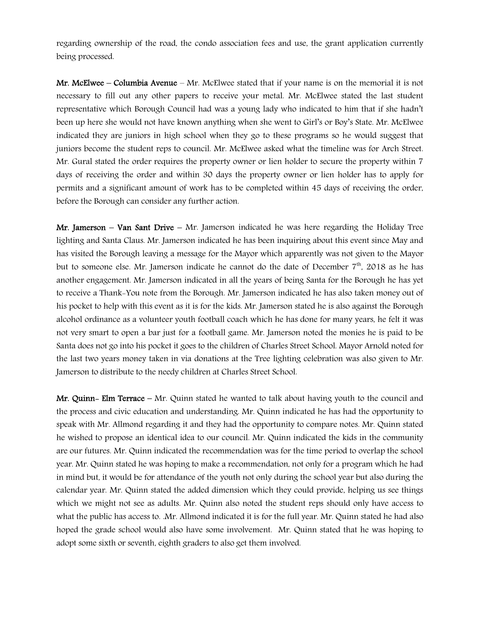regarding ownership of the road, the condo association fees and use, the grant application currently being processed.

Mr. McElwee – Columbia Avenue – Mr. McElwee stated that if your name is on the memorial it is not necessary to fill out any other papers to receive your metal. Mr. McElwee stated the last student representative which Borough Council had was a young lady who indicated to him that if she hadn't been up here she would not have known anything when she went to Girl's or Boy's State. Mr. McElwee indicated they are juniors in high school when they go to these programs so he would suggest that juniors become the student reps to council. Mr. McElwee asked what the timeline was for Arch Street. Mr. Gural stated the order requires the property owner or lien holder to secure the property within 7 days of receiving the order and within 30 days the property owner or lien holder has to apply for permits and a significant amount of work has to be completed within 45 days of receiving the order, before the Borough can consider any further action.

Mr. Jamerson – Van Sant Drive – Mr. Jamerson indicated he was here regarding the Holiday Tree lighting and Santa Claus. Mr. Jamerson indicated he has been inquiring about this event since May and has visited the Borough leaving a message for the Mayor which apparently was not given to the Mayor but to someone else. Mr. Jamerson indicate he cannot do the date of December  $7<sup>th</sup>$ , 2018 as he has another engagement. Mr. Jamerson indicated in all the years of being Santa for the Borough he has yet to receive a Thank-You note from the Borough. Mr. Jamerson indicated he has also taken money out of his pocket to help with this event as it is for the kids. Mr. Jamerson stated he is also against the Borough alcohol ordinance as a volunteer youth football coach which he has done for many years, he felt it was not very smart to open a bar just for a football game. Mr. Jamerson noted the monies he is paid to be Santa does not go into his pocket it goes to the children of Charles Street School. Mayor Arnold noted for the last two years money taken in via donations at the Tree lighting celebration was also given to Mr. Jamerson to distribute to the needy children at Charles Street School.

**Mr. Quinn- Elm Terrace** – Mr. Quinn stated he wanted to talk about having youth to the council and the process and civic education and understanding. Mr. Quinn indicated he has had the opportunity to speak with Mr. Allmond regarding it and they had the opportunity to compare notes. Mr. Quinn stated he wished to propose an identical idea to our council. Mr. Quinn indicated the kids in the community are our futures. Mr. Quinn indicated the recommendation was for the time period to overlap the school year. Mr. Quinn stated he was hoping to make a recommendation, not only for a program which he had in mind but, it would be for attendance of the youth not only during the school year but also during the calendar year. Mr. Quinn stated the added dimension which they could provide, helping us see things which we might not see as adults. Mr. Quinn also noted the student reps should only have access to what the public has access to. .Mr. Allmond indicated it is for the full year. Mr. Quinn stated he had also hoped the grade school would also have some involvement. Mr. Quinn stated that he was hoping to adopt some sixth or seventh, eighth graders to also get them involved.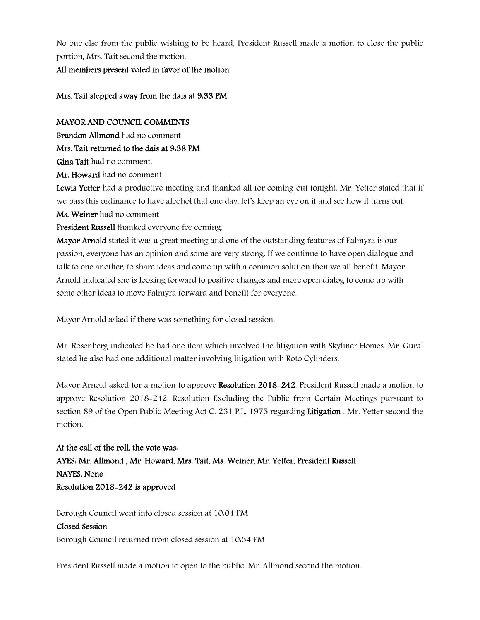No one else from the public wishing to be heard, President Russell made a motion to close the public portion, Mrs. Tait second the motion.

All members present voted in favor of the motion.

### Mrs. Tait stepped away from the dais at 9:33 PM

### MAYOR AND COUNCIL COMMENTS

Brandon Allmond had no comment

Mrs. Tait returned to the dais at 9:38 PM

Gina Tait had no comment.

Mr. Howard had no comment

Lewis Yetter had a productive meeting and thanked all for coming out tonight. Mr. Yetter stated that if we pass this ordinance to have alcohol that one day, let's keep an eye on it and see how it turns out. Ms. Weiner had no comment

President Russell thanked everyone for coming.

Mayor Arnold stated it was a great meeting and one of the outstanding features of Palmyra is our passion, everyone has an opinion and some are very strong. If we continue to have open dialogue and talk to one another, to share ideas and come up with a common solution then we all benefit. Mayor Arnold indicated she is looking forward to positive changes and more open dialog to come up with some other ideas to move Palmyra forward and benefit for everyone.

Mayor Arnold asked if there was something for closed session.

Mr. Rosenberg indicated he had one item which involved the litigation with Skyliner Homes. Mr. Gural stated he also had one additional matter involving litigation with Roto Cylinders.

Mayor Arnold asked for a motion to approve Resolution 2018-242. President Russell made a motion to approve Resolution 2018-242, Resolution Excluding the Public from Certain Meetings pursuant to section 89 of the Open Public Meeting Act C. 231 P.L. 1975 regarding Litigation . Mr. Yetter second the motion.

At the call of the roll, the vote was: AYES: Mr. Allmond , Mr. Howard, Mrs. Tait, Ms. Weiner, Mr. Yetter, President Russell NAYES: None Resolution 2018-242 is approved

Borough Council went into closed session at 10:04 PM

#### Closed Session

Borough Council returned from closed session at 10:34 PM

President Russell made a motion to open to the public. Mr. Allmond second the motion.